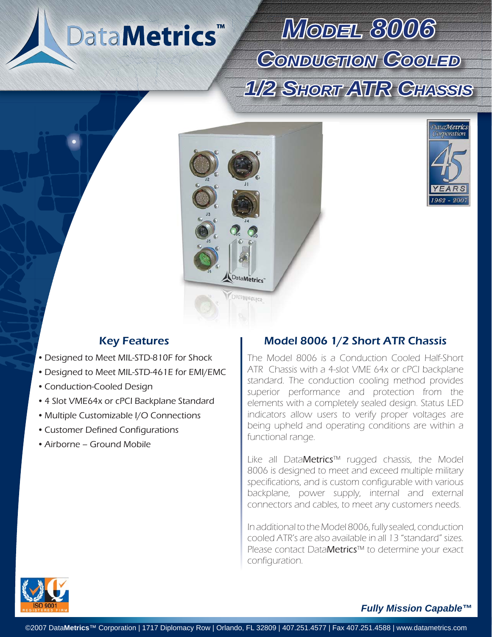# DataMetrics<sup>™</sup>

*MODEL8006* **CONDUCTION COOLED** *1/2 SHORTATR CHASSIS*





- Designed to Meet MIL-STD-810F for Shock
- Designed to Meet MIL-STD-461E for EMI/EMC
- Conduction-Cooled Design
- 4 Slot VME64x or cPCI Backplane Standard
- Multiple Customizable I/O Connections
- Customer Defined Configurations •
- Airborne Ground Mobile •

### Key Features **Model 8006 1/2 Short ATR Chassis**

The Model 8006 is a Conduction Cooled Half-Short ATR Chassis with a 4-slot VME 64x or cPCI backplane standard. The conduction cooling method provides superior performance and protection from the elements with a completely sealed design. Status LED indicators allow users to verify proper voltages are being upheld and operating conditions are within a functional range.

Like all DataMetrics™ rugged chassis, the Model 8006 is designed to meet and exceed multiple military specifications, and is custom configurable with various backplane, power supply, internal and external connectors and cables, to meet any customers needs.

In additional to the Model 8006, fully sealed, conduction cooled ATR's are also available in all 13 "standard" sizes. Please contact DataMetrics™ to determine your exact configuration.



#### *Fully Mission Capable™*